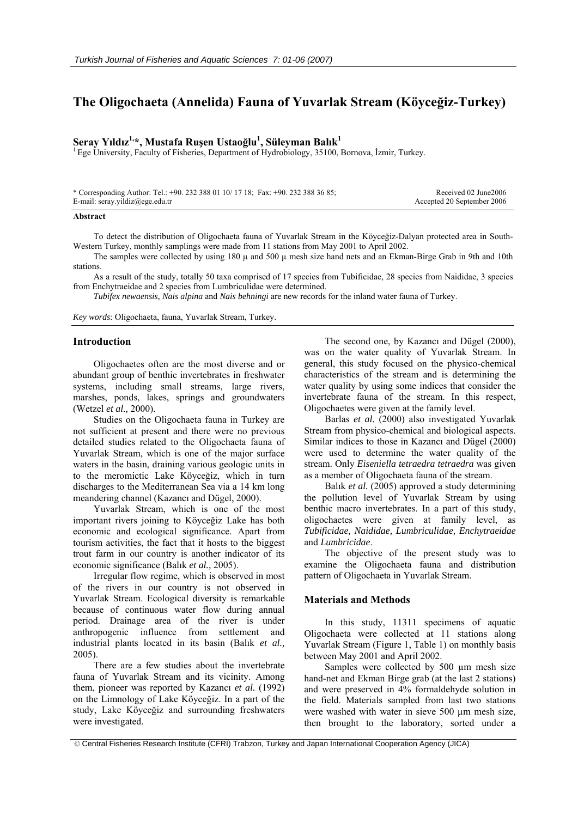# **The Oligochaeta (Annelida) Fauna of Yuvarlak Stream (Köyceğiz-Turkey)**

# **Seray Yıldız 1,\*, Mustafa Ruşen Ustaoğlu<sup>1</sup> , Süleyman Balık<sup>1</sup>**

 ${}^{1}$  Ege University, Faculty of Fisheries, Department of Hydrobiology, 35100, Bornova, İzmir, Turkey.

| * Corresponding Author: Tel.: +90. 232 388 01 10/ 17 18; Fax: +90. 232 388 36 85; | Received 02 June2006       |
|-----------------------------------------------------------------------------------|----------------------------|
| E-mail: seray.yildiz@ege.edu.tr                                                   | Accepted 20 September 2006 |

#### **Abstract**

To detect the distribution of Oligochaeta fauna of Yuvarlak Stream in the Köyceğiz-Dalyan protected area in South-Western Turkey, monthly samplings were made from 11 stations from May 2001 to April 2002.

The samples were collected by using 180  $\mu$  and 500  $\mu$  mesh size hand nets and an Ekman-Birge Grab in 9th and 10th stations.

As a result of the study, totally 50 taxa comprised of 17 species from Tubificidae, 28 species from Naididae, 3 species from Enchytraeidae and 2 species from Lumbriculidae were determined.

*Tubifex newaensis, Nais alpina* and *Nais behningi* are new records for the inland water fauna of Turkey.

*Key words*: Oligochaeta, fauna, Yuvarlak Stream, Turkey.

#### **Introduction**

Oligochaetes often are the most diverse and or abundant group of benthic invertebrates in freshwater systems, including small streams, large rivers, marshes, ponds, lakes, springs and groundwaters (Wetzel *et al.,* 2000).

Studies on the Oligochaeta fauna in Turkey are not sufficient at present and there were no previous detailed studies related to the Oligochaeta fauna of Yuvarlak Stream, which is one of the major surface waters in the basin, draining various geologic units in to the meromictic Lake Köyceğiz, which in turn discharges to the Mediterranean Sea via a 14 km long meandering channel (Kazancı and Dügel, 2000).

Yuvarlak Stream, which is one of the most important rivers joining to Köyceğiz Lake has both economic and ecological significance. Apart from tourism activities, the fact that it hosts to the biggest trout farm in our country is another indicator of its economic significance (Balık *et al.,* 2005).

Irregular flow regime, which is observed in most of the rivers in our country is not observed in Yuvarlak Stream. Ecological diversity is remarkable because of continuous water flow during annual period. Drainage area of the river is under anthropogenic influence from settlement and industrial plants located in its basin (Balık *et al.,*  2005).

There are a few studies about the invertebrate fauna of Yuvarlak Stream and its vicinity. Among them, pioneer was reported by Kazancı *et al.* (1992) on the Limnology of Lake Köyceğiz. In a part of the study, Lake Köyceğiz and surrounding freshwaters were investigated.

The second one, by Kazancı and Dügel (2000), was on the water quality of Yuvarlak Stream. In general, this study focused on the physico-chemical characteristics of the stream and is determining the water quality by using some indices that consider the invertebrate fauna of the stream. In this respect, Oligochaetes were given at the family level.

Barlas *et al.* (2000) also investigated Yuvarlak Stream from physico-chemical and biological aspects. Similar indices to those in Kazancı and Dügel (2000) were used to determine the water quality of the stream. Only *Eiseniella tetraedra tetraedra* was given as a member of Oligochaeta fauna of the stream.

Balık *et al.* (2005) approved a study determining the pollution level of Yuvarlak Stream by using benthic macro invertebrates. In a part of this study, oligochaetes were given at family level, as *Tubificidae, Naididae, Lumbriculidae, Enchytraeidae*  and *Lumbricidae*.

The objective of the present study was to examine the Oligochaeta fauna and distribution pattern of Oligochaeta in Yuvarlak Stream.

# **Materials and Methods**

In this study, 11311 specimens of aquatic Oligochaeta were collected at 11 stations along Yuvarlak Stream (Figure 1, Table 1) on monthly basis between May 2001 and April 2002.

Samples were collected by 500 µm mesh size hand-net and Ekman Birge grab (at the last 2 stations) and were preserved in 4% formaldehyde solution in the field. Materials sampled from last two stations were washed with water in sieve 500 µm mesh size, then brought to the laboratory, sorted under a

© Central Fisheries Research Institute (CFRI) Trabzon, Turkey and Japan International Cooperation Agency (JICA)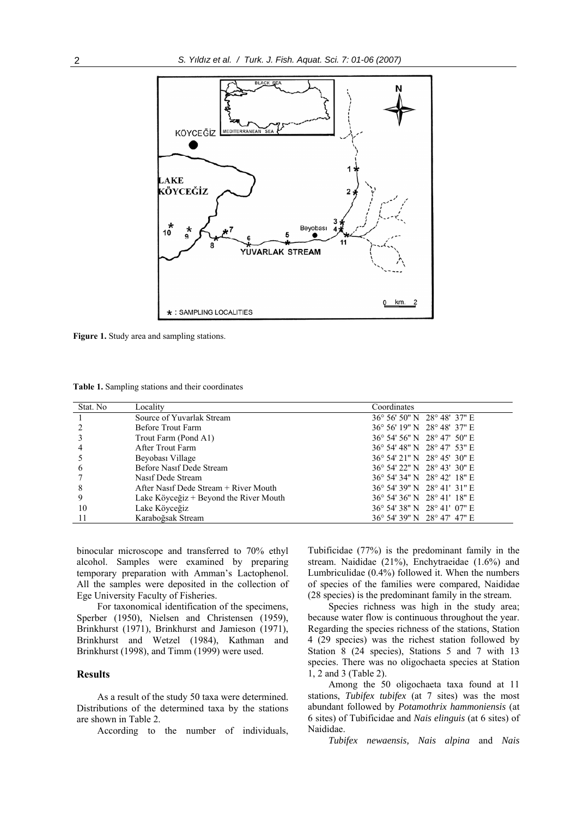

**Figure 1.** Study area and sampling stations.

**Table 1.** Sampling stations and their coordinates

| Stat. No | Locality                               | Coordinates                 |
|----------|----------------------------------------|-----------------------------|
|          | Source of Yuvarlak Stream              | 36° 56′ 50″ N 28° 48′ 37″ E |
|          | Before Trout Farm                      | 36° 56′ 19″ N 28° 48′ 37″ E |
|          | Trout Farm (Pond A1)                   | 36° 54′ 56″ N 28° 47′ 50″ E |
|          | After Trout Farm                       | 36° 54′ 48″ N 28° 47′ 53″ E |
|          | Beyobası Village                       | 36° 54′ 21″ N 28° 45′ 30″ E |
| 6        | Before Nasif Dede Stream               | 36° 54′ 22″ N 28° 43′ 30″ E |
|          | Nasif Dede Stream                      | 36° 54′ 34″ N 28° 42′ 18″ E |
| 8        | After Nasif Dede Stream + River Mouth  | 36° 54′ 39″ N 28° 41′ 31″ E |
| 9        | Lake Köyceğiz + Beyond the River Mouth | 36° 54′ 36″ N 28° 41′ 18″ E |
| 10       | Lake Köyceğiz                          | 36° 54′ 38″ N 28° 41′ 07″ E |
| 11       | Karaboğsak Stream                      | 36° 54' 39" N 28° 47' 47" E |

binocular microscope and transferred to 70% ethyl alcohol. Samples were examined by preparing temporary preparation with Amman's Lactophenol. All the samples were deposited in the collection of Ege University Faculty of Fisheries.

For taxonomical identification of the specimens, Sperber (1950), Nielsen and Christensen (1959), Brinkhurst (1971), Brinkhurst and Jamieson (1971), Brinkhurst and Wetzel (1984), Kathman and Brinkhurst (1998), and Timm (1999) were used.

### **Results**

As a result of the study 50 taxa were determined. Distributions of the determined taxa by the stations are shown in Table 2.

According to the number of individuals,

Tubificidae (77%) is the predominant family in the stream. Naididae (21%), Enchytraeidae (1.6%) and Lumbriculidae (0.4%) followed it. When the numbers of species of the families were compared, Naididae (28 species) is the predominant family in the stream.

Species richness was high in the study area; because water flow is continuous throughout the year. Regarding the species richness of the stations, Station 4 (29 species) was the richest station followed by Station 8 (24 species), Stations 5 and 7 with 13 species. There was no oligochaeta species at Station 1, 2 and 3 (Table 2).

Among the 50 oligochaeta taxa found at 11 stations, *Tubifex tubifex* (at 7 sites) was the most abundant followed by *Potamothrix hammoniensis* (at 6 sites) of Tubificidae and *Nais elinguis* (at 6 sites) of Naididae.

*Tubifex newaensis, Nais alpina* and *Nais*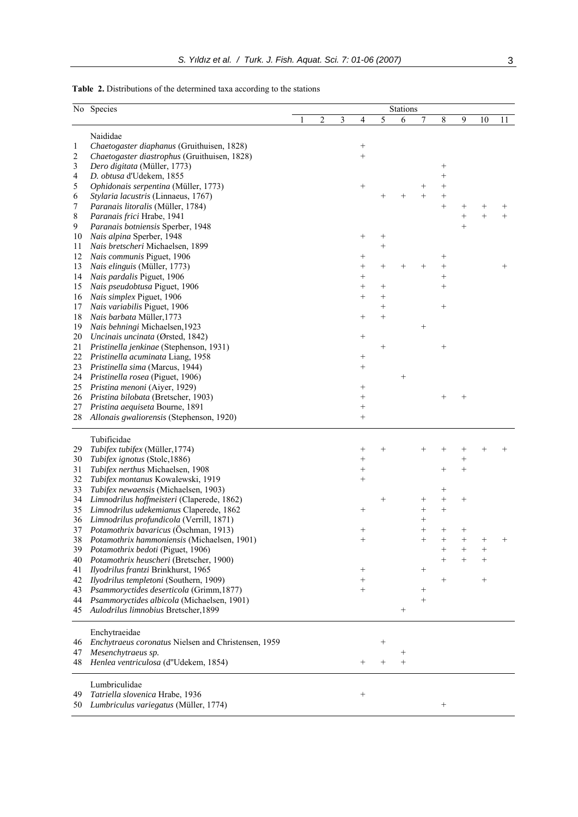|  | <b>Table 2.</b> Distributions of the determined taxa according to the stations |  |  |  |  |  |
|--|--------------------------------------------------------------------------------|--|--|--|--|--|
|--|--------------------------------------------------------------------------------|--|--|--|--|--|

|                     | No Species                                                                                 | Stations |                |   |                                    |        |        |                |                 |                    |         |      |
|---------------------|--------------------------------------------------------------------------------------------|----------|----------------|---|------------------------------------|--------|--------|----------------|-----------------|--------------------|---------|------|
|                     |                                                                                            |          | $\overline{c}$ | 3 | $\overline{4}$                     | 5      | 6      | 7              | 8               | 9                  | 10      | 11   |
|                     |                                                                                            |          |                |   |                                    |        |        |                |                 |                    |         |      |
|                     | Naididae                                                                                   |          |                |   |                                    |        |        |                |                 |                    |         |      |
| 1<br>$\overline{2}$ | Chaetogaster diaphanus (Gruithuisen, 1828)<br>Chaetogaster diastrophus (Gruithuisen, 1828) |          |                |   | $^{+}$<br>$^{+}$                   |        |        |                |                 |                    |         |      |
| 3                   | Dero digitata (Müller, 1773)                                                               |          |                |   |                                    |        |        |                | $^{+}$          |                    |         |      |
| 4                   | D. obtusa d'Udekem, 1855                                                                   |          |                |   |                                    |        |        |                | $^{+}$          |                    |         |      |
| 5                   | Ophidonais serpentina (Müller, 1773)                                                       |          |                |   | $\! + \!\!\!\!$                    |        |        | $^+$           | $^{+}$          |                    |         |      |
| 6                   | Stylaria lacustris (Linnaeus, 1767)                                                        |          |                |   |                                    |        |        | $\overline{+}$ | $^{+}$          |                    |         |      |
| 7                   | Paranais litoralis (Müller, 1784)                                                          |          |                |   |                                    |        |        |                | $^{+}$          | $\hspace{0.1mm} +$ | $\,+\,$ |      |
| 8                   | Paranais frici Hrabe, 1941                                                                 |          |                |   |                                    |        |        |                |                 | $^{+}$             | $^{+}$  | $+$  |
| 9                   | Paranais botniensis Sperber, 1948                                                          |          |                |   |                                    |        |        |                |                 | $^{+}$             |         |      |
| 10                  | Nais alpina Sperber, 1948                                                                  |          |                |   | $\! + \!\!\!\!$                    | $^{+}$ |        |                |                 |                    |         |      |
| 11                  | Nais bretscheri Michaelsen, 1899                                                           |          |                |   |                                    | $^{+}$ |        |                |                 |                    |         |      |
| 12                  | Nais communis Piguet, 1906                                                                 |          |                |   | $^{+}$                             |        |        |                | $^{+}$          |                    |         |      |
| 13                  | Nais elinguis (Müller, 1773)                                                               |          |                |   | $^{+}$                             | $^{+}$ |        |                | $^{+}$          |                    |         | $^+$ |
| 14                  | Nais pardalis Piguet, 1906                                                                 |          |                |   | $^{+}$                             |        |        |                | $^{+}$          |                    |         |      |
| 15                  | Nais pseudobtusa Piguet, 1906                                                              |          |                |   | $^{+}$                             | $^{+}$ |        |                | $^{+}$          |                    |         |      |
| 16                  | Nais simplex Piguet, 1906                                                                  |          |                |   | $^{+}$                             | $^{+}$ |        |                |                 |                    |         |      |
| 17                  | Nais variabilis Piguet, 1906                                                               |          |                |   |                                    | $^{+}$ |        |                | $^{+}$          |                    |         |      |
| 18                  | Nais barbata Müller, 1773                                                                  |          |                |   | $^{+}$                             | $^{+}$ |        |                |                 |                    |         |      |
| 19                  | Nais behningi Michaelsen, 1923                                                             |          |                |   |                                    |        |        | $^{+}$         |                 |                    |         |      |
| 20                  | Uncinais uncinata (Ørsted, 1842)                                                           |          |                |   | $\! + \!\!\!\!$                    |        |        |                |                 |                    |         |      |
| 21                  | Pristinella jenkinae (Stephenson, 1931)                                                    |          |                |   |                                    | $^{+}$ |        |                | $^{+}$          |                    |         |      |
| 22                  | Pristinella acuminata Liang, 1958                                                          |          |                |   | $^{+}$                             |        |        |                |                 |                    |         |      |
| 23                  | Pristinella sima (Marcus, 1944)                                                            |          |                |   | $+$                                |        |        |                |                 |                    |         |      |
| 24                  | Pristinella rosea (Piguet, 1906)                                                           |          |                |   |                                    |        | $^{+}$ |                |                 |                    |         |      |
| 25                  | Pristina menoni (Aiyer, 1929)                                                              |          |                |   | $\! + \!\!\!\!$                    |        |        |                |                 |                    |         |      |
| 26<br>27            | Pristina bilobata (Bretscher, 1903)<br>Pristina aequiseta Bourne, 1891                     |          |                |   | $\! + \!\!\!\!$<br>$\! + \!\!\!\!$ |        |        |                |                 |                    |         |      |
| 28                  | Allonais gwaliorensis (Stephenson, 1920)                                                   |          |                |   | $^{+}$                             |        |        |                |                 |                    |         |      |
|                     |                                                                                            |          |                |   |                                    |        |        |                |                 |                    |         |      |
|                     | Tubificidae                                                                                |          |                |   |                                    |        |        |                |                 |                    |         |      |
| 29                  | Tubifex tubifex (Müller, 1774)                                                             |          |                |   | $^{+}$                             | $^{+}$ |        |                |                 | $^+$               |         |      |
| 30                  | Tubifex ignotus (Stolc, 1886)                                                              |          |                |   | $^{+}$                             |        |        |                |                 | $^{+}$             |         |      |
| 31                  | Tubifex nerthus Michaelsen, 1908                                                           |          |                |   | $\! + \!\!\!\!$                    |        |        |                | $^+$            | $^{+}$             |         |      |
| 32                  | Tubifex montanus Kowalewski, 1919                                                          |          |                |   | $^{+}$                             |        |        |                |                 |                    |         |      |
| 33                  | Tubifex newaensis (Michaelsen, 1903)                                                       |          |                |   |                                    |        |        |                | $^{+}$          |                    |         |      |
| 34                  | Limnodrilus hoffmeisteri (Claperede, 1862)                                                 |          |                |   |                                    | $^{+}$ |        | $^{+}$         | $^{+}$          | $^{+}$             |         |      |
| 35                  | Limnodrilus udekemianus Claperede, 1862                                                    |          |                |   | $^{+}$                             |        |        |                | $^{+}$          |                    |         |      |
| 36                  | Limnodrilus profundicola (Verrill, 1871)                                                   |          |                |   |                                    |        |        | $^{+}$         |                 |                    |         |      |
| 37                  | Potamothrix bavaricus (Öschman, 1913)                                                      |          |                |   | $^{+}$                             |        |        | $^{+}$         | $^+$            | $^+$               |         |      |
| 38                  | Potamothrix hammoniensis (Michaelsen, 1901)                                                |          |                |   |                                    |        |        |                |                 |                    |         |      |
| 39                  | Potamothrix bedoti (Piguet, 1906)                                                          |          |                |   |                                    |        |        |                | $^{+}$          | $^{+}$             | $^{+}$  |      |
| 40                  | Potamothrix heuscheri (Bretscher, 1900)                                                    |          |                |   |                                    |        |        |                | $^{+}$          | $^{+}$             |         |      |
| 41                  | Ilyodrilus frantzi Brinkhurst, 1965                                                        |          |                |   | $^{+}$                             |        |        | $^{+}$         |                 |                    |         |      |
| 42                  | Ilyodrilus templetoni (Southern, 1909)                                                     |          |                |   | $+$                                |        |        |                | $^{+}$          |                    | $^{+}$  |      |
| 43                  | Psammoryctides deserticola (Grimm, 1877)                                                   |          |                |   | $^{+}$                             |        |        |                |                 |                    |         |      |
| 44                  | Psammoryctides albicola (Michaelsen, 1901)                                                 |          |                |   |                                    |        |        | $^{+}$         |                 |                    |         |      |
| 45                  | Aulodrilus limnobius Bretscher, 1899                                                       |          |                |   |                                    |        | $^{+}$ |                |                 |                    |         |      |
|                     |                                                                                            |          |                |   |                                    |        |        |                |                 |                    |         |      |
|                     | Enchytraeidae                                                                              |          |                |   |                                    |        |        |                |                 |                    |         |      |
| 46                  | Enchytraeus coronatus Nielsen and Christensen, 1959                                        |          |                |   |                                    | $^{+}$ |        |                |                 |                    |         |      |
| 47                  | Mesenchytraeus sp.                                                                         |          |                |   |                                    |        | $^{+}$ |                |                 |                    |         |      |
| 48                  | Henlea ventriculosa (d"Udekem, 1854)                                                       |          |                |   | $+$                                | $^{+}$ | $^{+}$ |                |                 |                    |         |      |
|                     |                                                                                            |          |                |   |                                    |        |        |                |                 |                    |         |      |
|                     | Lumbriculidae                                                                              |          |                |   |                                    |        |        |                |                 |                    |         |      |
| 49                  | Tatriella slovenica Hrabe, 1936<br>Lumbriculus variegatus (Müller, 1774)                   |          |                |   | $\! + \!\!\!\!$                    |        |        |                |                 |                    |         |      |
| 50                  |                                                                                            |          |                |   |                                    |        |        |                | $\! + \!\!\!\!$ |                    |         |      |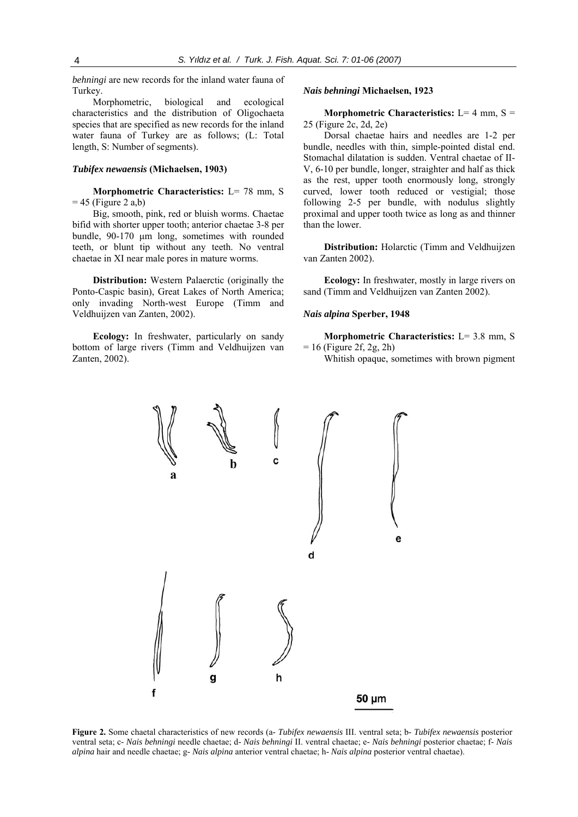*behningi* are new records for the inland water fauna of Turkey.

Morphometric, biological and ecological characteristics and the distribution of Oligochaeta species that are specified as new records for the inland water fauna of Turkey are as follows; (L: Total length, S: Number of segments).

#### *Tubifex newaensis* **(Michaelsen, 1903)**

**Morphometric Characteristics:** L= 78 mm, S  $= 45$  (Figure 2 a,b)

Big, smooth, pink, red or bluish worms. Chaetae bifid with shorter upper tooth; anterior chaetae 3-8 per bundle, 90-170 μm long, sometimes with rounded teeth, or blunt tip without any teeth. No ventral chaetae in XI near male pores in mature worms.

**Distribution:** Western Palaerctic (originally the Ponto-Caspic basin), Great Lakes of North America; only invading North-west Europe (Timm and Veldhuijzen van Zanten, 2002).

**Ecology:** In freshwater, particularly on sandy bottom of large rivers (Timm and Veldhuijzen van Zanten, 2002).

#### *Nais behningi* **Michaelsen, 1923**

**Morphometric Characteristics:**  $L = 4$  mm,  $S =$ 25 (Figure 2c, 2d, 2e)

Dorsal chaetae hairs and needles are 1-2 per bundle, needles with thin, simple-pointed distal end. Stomachal dilatation is sudden. Ventral chaetae of II-V, 6-10 per bundle, longer, straighter and half as thick as the rest, upper tooth enormously long, strongly curved, lower tooth reduced or vestigial; those following 2-5 per bundle, with nodulus slightly proximal and upper tooth twice as long as and thinner than the lower.

**Distribution:** Holarctic (Timm and Veldhuijzen van Zanten 2002).

**Ecology:** In freshwater, mostly in large rivers on sand (Timm and Veldhuijzen van Zanten 2002).

## *Nais alpina* **Sperber, 1948**

**Morphometric Characteristics:** L= 3.8 mm, S  $= 16$  (Figure 2f, 2g, 2h)

Whitish opaque, sometimes with brown pigment



**Figure 2.** Some chaetal characteristics of new records (a- *Tubifex newaensis* III. ventral seta; b- *Tubifex newaensis* posterior ventral seta; c- *Nais behningi* needle chaetae; d- *Nais behningi* II. ventral chaetae; e- *Nais behningi* posterior chaetae; f- *Nais alpina* hair and needle chaetae; g- *Nais alpina* anterior ventral chaetae; h- *Nais alpina* posterior ventral chaetae).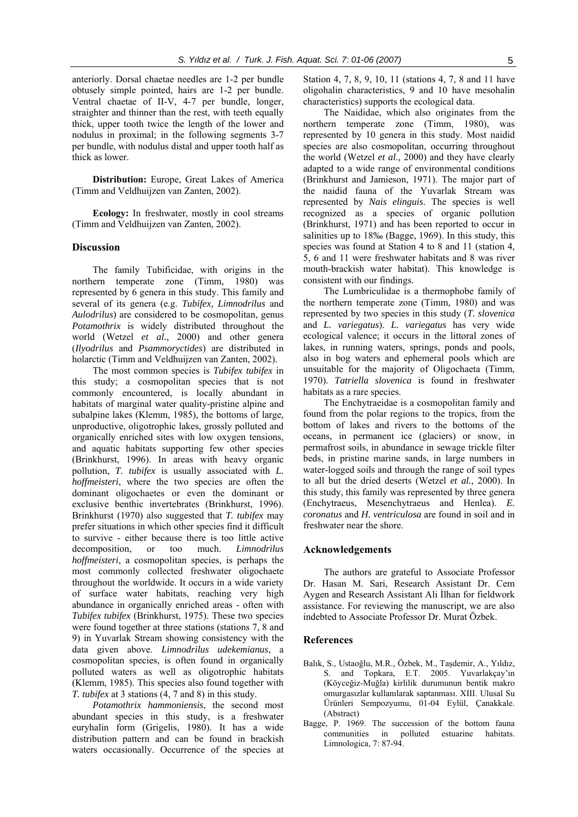anteriorly. Dorsal chaetae needles are 1-2 per bundle obtusely simple pointed, hairs are 1-2 per bundle. Ventral chaetae of II-V, 4-7 per bundle, longer, straighter and thinner than the rest, with teeth equally thick, upper tooth twice the length of the lower and nodulus in proximal; in the following segments 3-7 per bundle, with nodulus distal and upper tooth half as thick as lower.

**Distribution:** Europe, Great Lakes of America (Timm and Veldhuijzen van Zanten, 2002).

**Ecology:** In freshwater, mostly in cool streams (Timm and Veldhuijzen van Zanten, 2002).

#### **Discussion**

The family Tubificidae, with origins in the northern temperate zone (Timm, 1980) was represented by 6 genera in this study. This family and several of its genera (e.g. *Tubifex, Limnodrilus* and *Aulodrilus*) are considered to be cosmopolitan, genus *Potamothrix* is widely distributed throughout the world (Wetzel *et al.,* 2000) and other genera (*Ilyodrilus* and *Psammoryctides*) are distributed in holarctic (Timm and Veldhuijzen van Zanten, 2002).

The most common species is *Tubifex tubifex* in this study; a cosmopolitan species that is not commonly encountered, is locally abundant in habitats of marginal water quality-pristine alpine and subalpine lakes (Klemm, 1985), the bottoms of large, unproductive, oligotrophic lakes, grossly polluted and organically enriched sites with low oxygen tensions, and aquatic habitats supporting few other species (Brinkhurst, 1996). In areas with heavy organic pollution, *T. tubifex* is usually associated with *L. hoffmeisteri*, where the two species are often the dominant oligochaetes or even the dominant or exclusive benthic invertebrates (Brinkhurst, 1996). Brinkhurst (1970) also suggested that *T. tubifex* may prefer situations in which other species find it difficult to survive - either because there is too little active decomposition, or too much. *Limnodrilus hoffmeisteri*, a cosmopolitan species, is perhaps the most commonly collected freshwater oligochaete throughout the worldwide. It occurs in a wide variety of surface water habitats, reaching very high abundance in organically enriched areas - often with *Tubifex tubifex* (Brinkhurst, 1975). These two species were found together at three stations (stations 7, 8 and 9) in Yuvarlak Stream showing consistency with the data given above. *Limnodrilus udekemianus*, a cosmopolitan species, is often found in organically polluted waters as well as oligotrophic habitats (Klemm, 1985). This species also found together with *T. tubifex* at 3 stations (4, 7 and 8) in this study.

*Potamothrix hammoniensis*, the second most abundant species in this study, is a freshwater euryhalin form (Grigelis, 1980). It has a wide distribution pattern and can be found in brackish waters occasionally. Occurrence of the species at

Station 4, 7, 8, 9, 10, 11 (stations 4, 7, 8 and 11 have oligohalin characteristics, 9 and 10 have mesohalin characteristics) supports the ecological data.

The Naididae, which also originates from the northern temperate zone (Timm, 1980), was represented by 10 genera in this study. Most naidid species are also cosmopolitan, occurring throughout the world (Wetzel *et al.,* 2000) and they have clearly adapted to a wide range of environmental conditions (Brinkhurst and Jamieson, 1971). The major part of the naidid fauna of the Yuvarlak Stream was represented by *Nais elinguis*. The species is well recognized as a species of organic pollution (Brinkhurst, 1971) and has been reported to occur in salinities up to 18‰ (Bagge, 1969). In this study, this species was found at Station 4 to 8 and 11 (station 4, 5, 6 and 11 were freshwater habitats and 8 was river mouth-brackish water habitat). This knowledge is consistent with our findings.

The Lumbriculidae is a thermophobe family of the northern temperate zone (Timm, 1980) and was represented by two species in this study (*T. slovenica*  and *L. variegatus*). *L. variegatus* has very wide ecological valence; it occurs in the littoral zones of lakes, in running waters, springs, ponds and pools, also in bog waters and ephemeral pools which are unsuitable for the majority of Oligochaeta (Timm, 1970). *Tatriella slovenica* is found in freshwater habitats as a rare species.

The Enchytraeidae is a cosmopolitan family and found from the polar regions to the tropics, from the bottom of lakes and rivers to the bottoms of the oceans, in permanent ice (glaciers) or snow, in permafrost soils, in abundance in sewage trickle filter beds, in pristine marine sands, in large numbers in water-logged soils and through the range of soil types to all but the dried deserts (Wetzel *et al.,* 2000). In this study, this family was represented by three genera (Enchytraeus, Mesenchytraeus and Henlea). *E. coronatus* and *H. ventriculosa* are found in soil and in freshwater near the shore.

#### **Acknowledgements**

The authors are grateful to Associate Professor Dr. Hasan M. Sari, Research Assistant Dr. Cem Aygen and Research Assistant Ali İlhan for fieldwork assistance. For reviewing the manuscript, we are also indebted to Associate Professor Dr. Murat Özbek.

#### **References**

- Balık, S., Ustaoğlu, M.R., Özbek, M., Taşdemir, A., Yıldız, S. and Topkara, E.T. 2005. Yuvarlakçay'ın (Köyceğiz-Muğla) kirlilik durumunun bentik makro omurgasızlar kullanılarak saptanması. XIII. Ulusal Su Ürünleri Sempozyumu, 01-04 Eylül, Çanakkale. (Abstract)
- Bagge, P. 1969. The succession of the bottom fauna communities in polluted estuarine habitats. Limnologica, 7: 87-94.